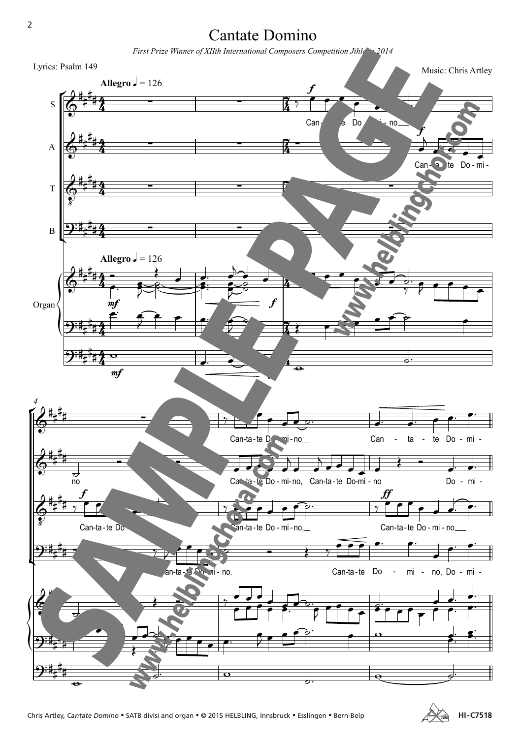Cantate Domino *First Prize Winner of XIIth International Composers Competition Jihlava 2014* 



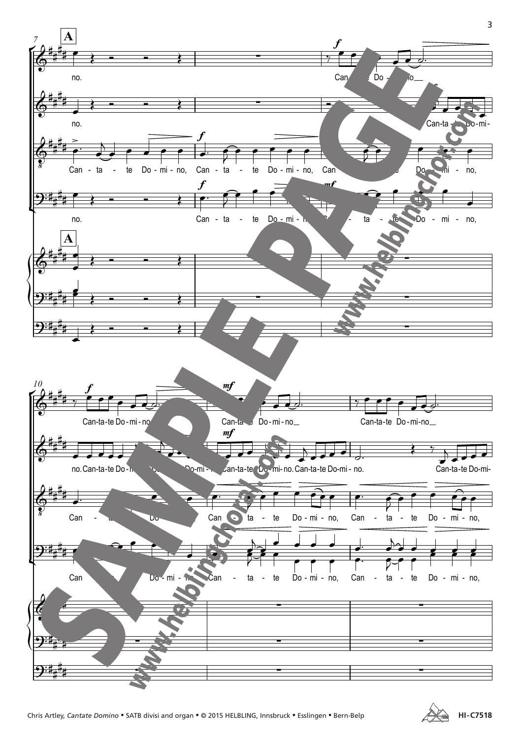

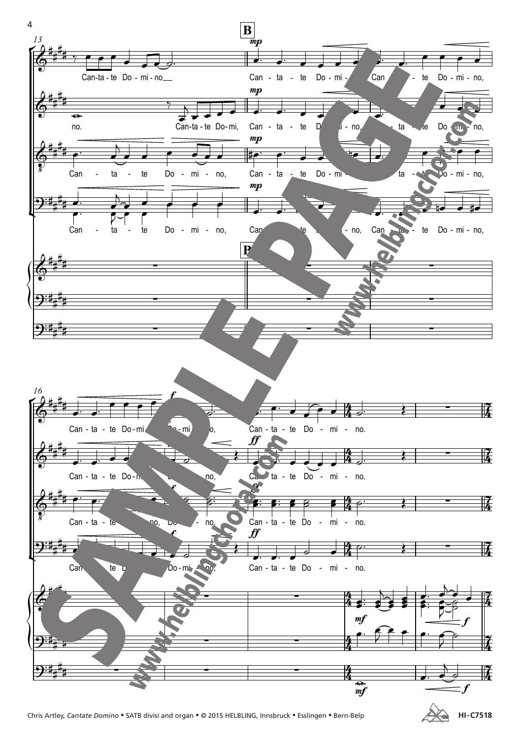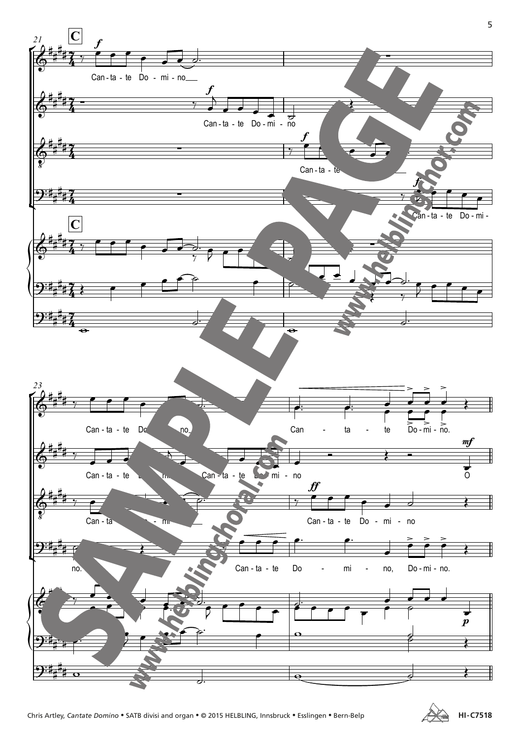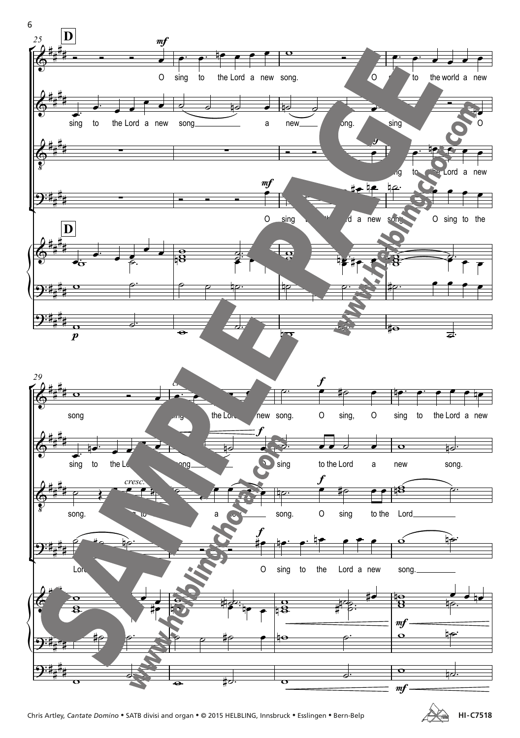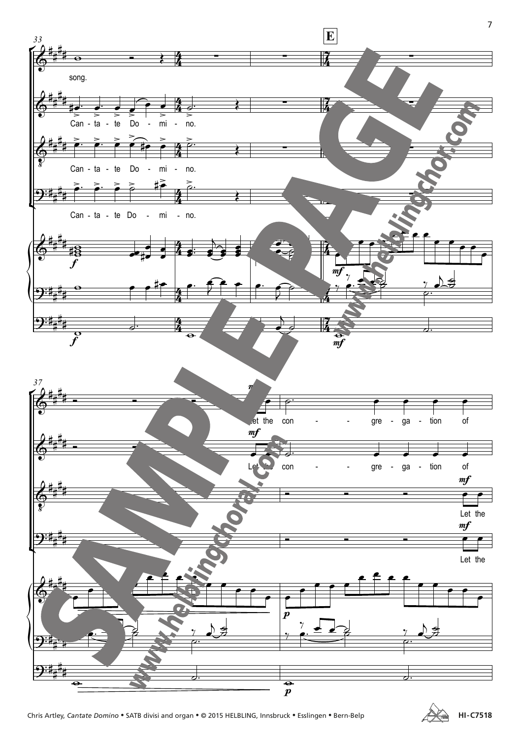

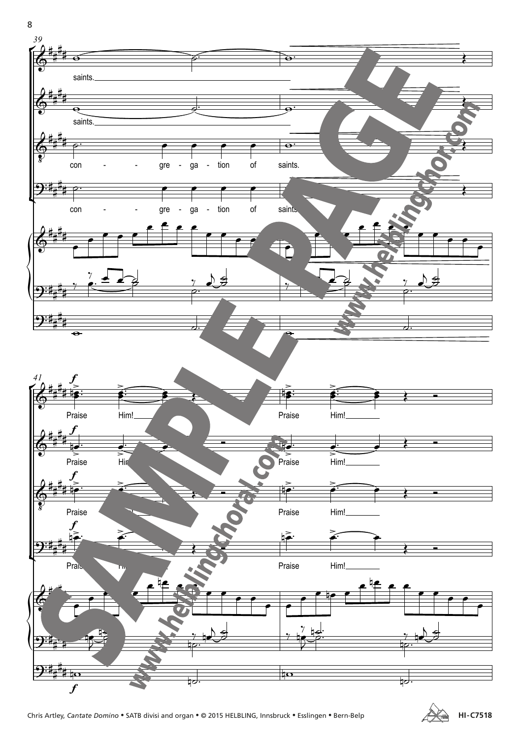



 $\,8\,$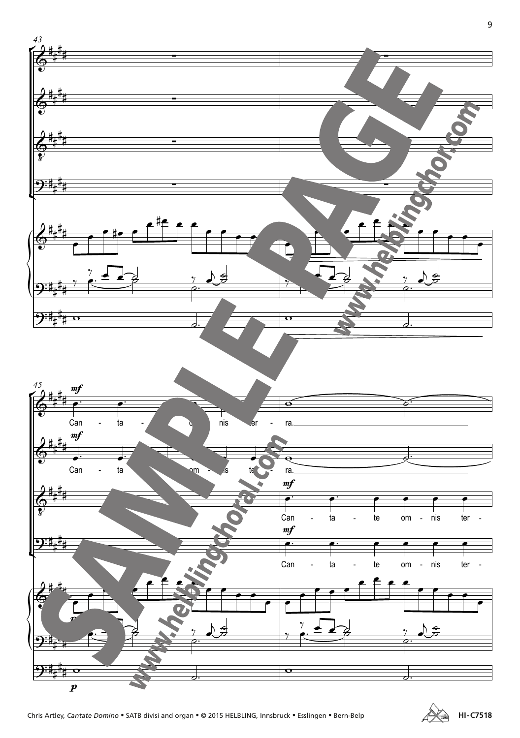





 $\boldsymbol{9}$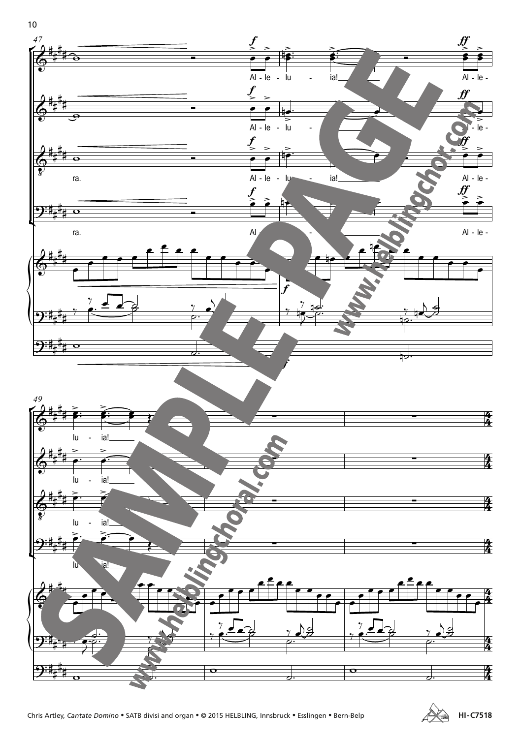